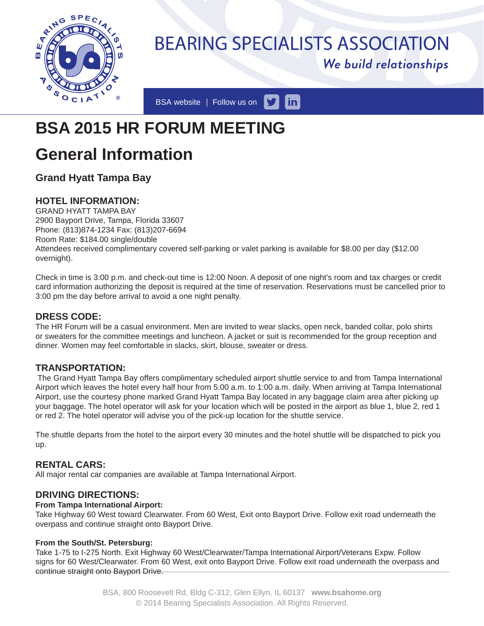

# **BEARING SPECIALISTS ASSOCIATION** We build relationships

BSA website | Follow us on  $\vert$  in  $\vert$ 

# **BSA 2015 HR FORUM MEETING**

# **General Information**

# **Grand Hyatt Tampa Bay**

## **HOTEL INFORMATION:**

GRAND HYATT TAMPA BAY 2900 Bayport Drive, Tampa, Florida 33607 Phone: (813)874-1234 Fax: (813)207-6694 Room Rate: \$184.00 single/double Attendees received complimentary covered self-parking or valet parking is available for \$8.00 per day (\$12.00 overnight).

Check in time is 3:00 p.m. and check-out time is 12:00 Noon. A deposit of one night's room and tax charges or credit card information authorizing the deposit is required at the time of reservation. Reservations must be cancelled prior to 3:00 pm the day before arrival to avoid a one night penalty.

#### **DRESS CODE:**

The HR Forum will be a casual environment. Men are invited to wear slacks, open neck, banded collar, polo shirts or sweaters for the committee meetings and luncheon. A jacket or suit is recommended for the group reception and dinner. Women may feel comfortable in slacks, skirt, blouse, sweater or dress.

### **TRANSPORTATION:**

 The Grand Hyatt Tampa Bay offers complimentary scheduled airport shuttle service to and from Tampa International Airport which leaves the hotel every half hour from 5:00 a.m. to 1:00 a.m. daily. When arriving at Tampa International Airport, use the courtesy phone marked Grand Hyatt Tampa Bay located in any baggage claim area after picking up your baggage. The hotel operator will ask for your location which will be posted in the airport as blue 1, blue 2, red 1 or red 2. The hotel operator will advise you of the pick-up location for the shuttle service.

The shuttle departs from the hotel to the airport every 30 minutes and the hotel shuttle will be dispatched to pick you up.

### **RENTAL CARS:**

All major rental car companies are available at Tampa International Airport.

#### **DRIVING DIRECTIONS:**

#### **From Tampa International Airport:**

Take Highway 60 West toward Clearwater. From 60 West, Exit onto Bayport Drive. Follow exit road underneath the overpass and continue straight onto Bayport Drive.

#### **From the South/St. Petersburg:**

Take 1-75 to I-275 North. Exit Highway 60 West/Clearwater/Tampa International Airport/Veterans Expw. Follow signs for 60 West/Clearwater. From 60 West, exit onto Bayport Drive. Follow exit road underneath the overpass and continue straight onto Bayport Drive.